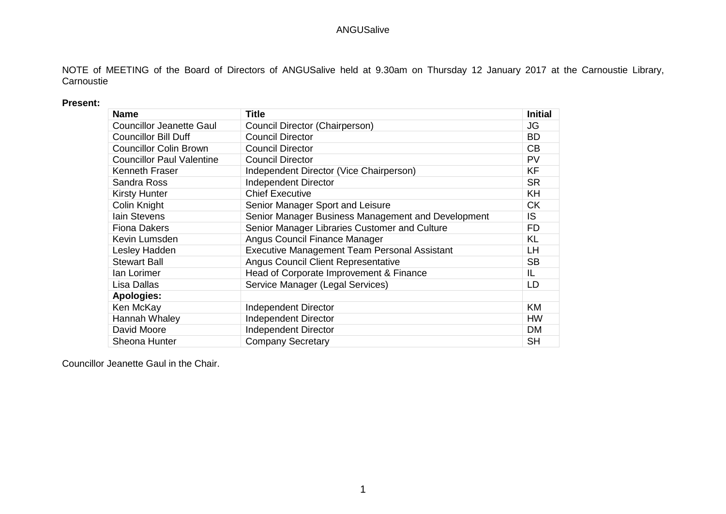NOTE of MEETING of the Board of Directors of ANGUSalive held at 9.30am on Thursday 12 January 2017 at the Carnoustie Library, **Carnoustie** 

### **Present:**

| <b>Name</b>                      | <b>Title</b>                                        | <b>Initial</b> |
|----------------------------------|-----------------------------------------------------|----------------|
| <b>Councillor Jeanette Gaul</b>  | Council Director (Chairperson)                      | <b>JG</b>      |
| <b>Councillor Bill Duff</b>      | <b>Council Director</b>                             | <b>BD</b>      |
| <b>Councillor Colin Brown</b>    | <b>Council Director</b>                             | CB             |
| <b>Councillor Paul Valentine</b> | <b>Council Director</b>                             | <b>PV</b>      |
| Kenneth Fraser                   | Independent Director (Vice Chairperson)             | <b>KF</b>      |
| Sandra Ross                      | <b>Independent Director</b>                         | <b>SR</b>      |
| <b>Kirsty Hunter</b>             | <b>Chief Executive</b>                              | KH             |
| Colin Knight                     | Senior Manager Sport and Leisure                    | <b>CK</b>      |
| lain Stevens                     | Senior Manager Business Management and Development  | IS             |
| <b>Fiona Dakers</b>              | Senior Manager Libraries Customer and Culture       | FD.            |
| Kevin Lumsden                    | Angus Council Finance Manager                       | <b>KL</b>      |
| Lesley Hadden                    | <b>Executive Management Team Personal Assistant</b> | LН             |
| <b>Stewart Ball</b>              | <b>Angus Council Client Representative</b>          | <b>SB</b>      |
| lan Lorimer                      | Head of Corporate Improvement & Finance             | IL             |
| Lisa Dallas                      | Service Manager (Legal Services)                    | LD             |
| <b>Apologies:</b>                |                                                     |                |
| Ken McKay                        | <b>Independent Director</b>                         | KM             |
| Hannah Whaley                    | <b>Independent Director</b>                         | <b>HW</b>      |
| David Moore                      | <b>Independent Director</b>                         | <b>DM</b>      |
| Sheona Hunter                    | <b>Company Secretary</b>                            | <b>SH</b>      |

Councillor Jeanette Gaul in the Chair.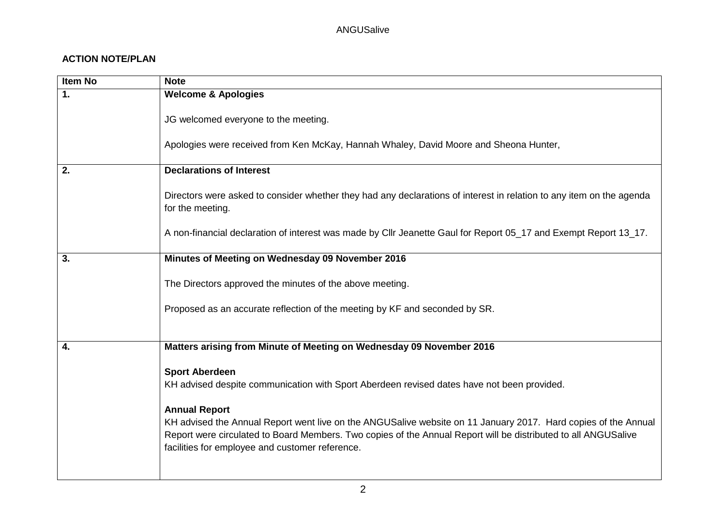# **ACTION NOTE/PLAN**

| Item No        | <b>Note</b>                                                                                                                                                                                                                                                                                                 |
|----------------|-------------------------------------------------------------------------------------------------------------------------------------------------------------------------------------------------------------------------------------------------------------------------------------------------------------|
| $\mathbf{1}$ . | <b>Welcome &amp; Apologies</b>                                                                                                                                                                                                                                                                              |
|                | JG welcomed everyone to the meeting.                                                                                                                                                                                                                                                                        |
|                | Apologies were received from Ken McKay, Hannah Whaley, David Moore and Sheona Hunter,                                                                                                                                                                                                                       |
| 2.             | <b>Declarations of Interest</b>                                                                                                                                                                                                                                                                             |
|                | Directors were asked to consider whether they had any declarations of interest in relation to any item on the agenda<br>for the meeting.                                                                                                                                                                    |
|                | A non-financial declaration of interest was made by Cllr Jeanette Gaul for Report 05_17 and Exempt Report 13_17.                                                                                                                                                                                            |
| 3.             | Minutes of Meeting on Wednesday 09 November 2016                                                                                                                                                                                                                                                            |
|                | The Directors approved the minutes of the above meeting.                                                                                                                                                                                                                                                    |
|                | Proposed as an accurate reflection of the meeting by KF and seconded by SR.                                                                                                                                                                                                                                 |
|                |                                                                                                                                                                                                                                                                                                             |
| 4.             | Matters arising from Minute of Meeting on Wednesday 09 November 2016                                                                                                                                                                                                                                        |
|                | <b>Sport Aberdeen</b><br>KH advised despite communication with Sport Aberdeen revised dates have not been provided.                                                                                                                                                                                         |
|                | <b>Annual Report</b><br>KH advised the Annual Report went live on the ANGUSalive website on 11 January 2017. Hard copies of the Annual<br>Report were circulated to Board Members. Two copies of the Annual Report will be distributed to all ANGUSalive<br>facilities for employee and customer reference. |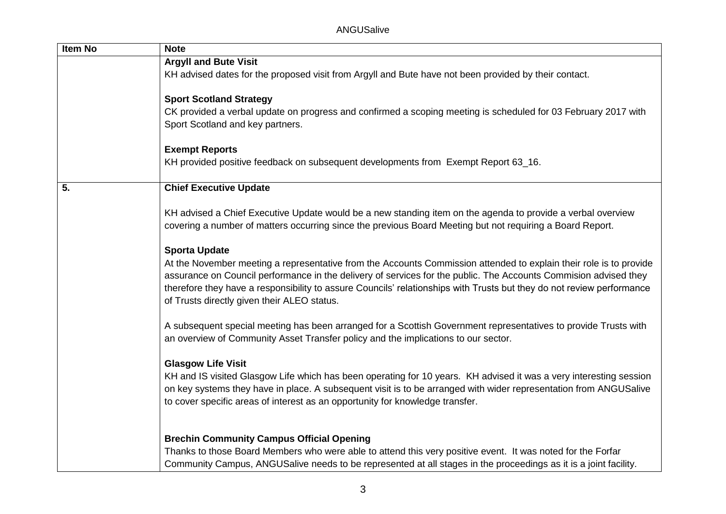| Item No | <b>Note</b>                                                                                                                                                                                                                                                                                                                                                                                                    |
|---------|----------------------------------------------------------------------------------------------------------------------------------------------------------------------------------------------------------------------------------------------------------------------------------------------------------------------------------------------------------------------------------------------------------------|
|         | <b>Argyll and Bute Visit</b>                                                                                                                                                                                                                                                                                                                                                                                   |
|         | KH advised dates for the proposed visit from Argyll and Bute have not been provided by their contact.                                                                                                                                                                                                                                                                                                          |
|         |                                                                                                                                                                                                                                                                                                                                                                                                                |
|         | <b>Sport Scotland Strategy</b>                                                                                                                                                                                                                                                                                                                                                                                 |
|         | CK provided a verbal update on progress and confirmed a scoping meeting is scheduled for 03 February 2017 with                                                                                                                                                                                                                                                                                                 |
|         | Sport Scotland and key partners.                                                                                                                                                                                                                                                                                                                                                                               |
|         | <b>Exempt Reports</b>                                                                                                                                                                                                                                                                                                                                                                                          |
|         | KH provided positive feedback on subsequent developments from Exempt Report 63_16.                                                                                                                                                                                                                                                                                                                             |
| 5.      | <b>Chief Executive Update</b>                                                                                                                                                                                                                                                                                                                                                                                  |
|         | KH advised a Chief Executive Update would be a new standing item on the agenda to provide a verbal overview<br>covering a number of matters occurring since the previous Board Meeting but not requiring a Board Report.                                                                                                                                                                                       |
|         |                                                                                                                                                                                                                                                                                                                                                                                                                |
|         | <b>Sporta Update</b>                                                                                                                                                                                                                                                                                                                                                                                           |
|         | At the November meeting a representative from the Accounts Commission attended to explain their role is to provide<br>assurance on Council performance in the delivery of services for the public. The Accounts Commision advised they<br>therefore they have a responsibility to assure Councils' relationships with Trusts but they do not review performance<br>of Trusts directly given their ALEO status. |
|         | A subsequent special meeting has been arranged for a Scottish Government representatives to provide Trusts with<br>an overview of Community Asset Transfer policy and the implications to our sector.                                                                                                                                                                                                          |
|         | <b>Glasgow Life Visit</b>                                                                                                                                                                                                                                                                                                                                                                                      |
|         | KH and IS visited Glasgow Life which has been operating for 10 years. KH advised it was a very interesting session<br>on key systems they have in place. A subsequent visit is to be arranged with wider representation from ANGUSalive                                                                                                                                                                        |
|         | to cover specific areas of interest as an opportunity for knowledge transfer.                                                                                                                                                                                                                                                                                                                                  |
|         | <b>Brechin Community Campus Official Opening</b>                                                                                                                                                                                                                                                                                                                                                               |
|         | Thanks to those Board Members who were able to attend this very positive event. It was noted for the Forfar                                                                                                                                                                                                                                                                                                    |
|         | Community Campus, ANGUSalive needs to be represented at all stages in the proceedings as it is a joint facility.                                                                                                                                                                                                                                                                                               |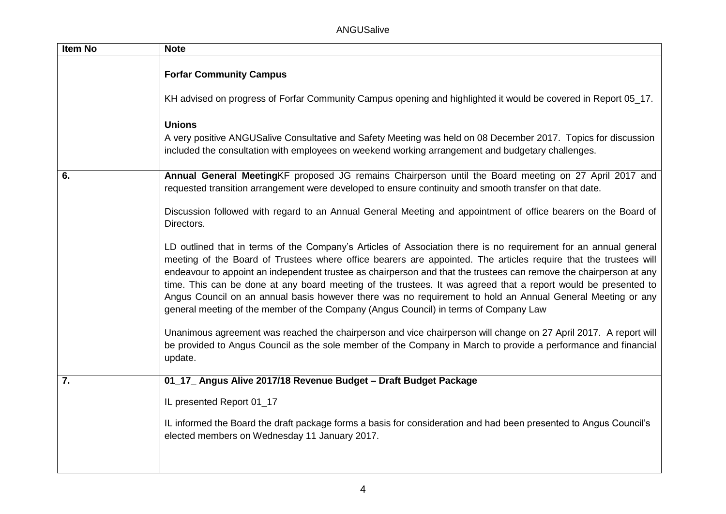ANGUSalive

| <b>Item No</b> | <b>Note</b>                                                                                                                                                                                                                                                                                                                                                                                                                                                                                                                                                                                                                                                                        |
|----------------|------------------------------------------------------------------------------------------------------------------------------------------------------------------------------------------------------------------------------------------------------------------------------------------------------------------------------------------------------------------------------------------------------------------------------------------------------------------------------------------------------------------------------------------------------------------------------------------------------------------------------------------------------------------------------------|
|                | <b>Forfar Community Campus</b>                                                                                                                                                                                                                                                                                                                                                                                                                                                                                                                                                                                                                                                     |
|                | KH advised on progress of Forfar Community Campus opening and highlighted it would be covered in Report 05_17.                                                                                                                                                                                                                                                                                                                                                                                                                                                                                                                                                                     |
|                | <b>Unions</b>                                                                                                                                                                                                                                                                                                                                                                                                                                                                                                                                                                                                                                                                      |
|                | A very positive ANGUSalive Consultative and Safety Meeting was held on 08 December 2017. Topics for discussion<br>included the consultation with employees on weekend working arrangement and budgetary challenges.                                                                                                                                                                                                                                                                                                                                                                                                                                                                |
| 6.             | Annual General MeetingKF proposed JG remains Chairperson until the Board meeting on 27 April 2017 and<br>requested transition arrangement were developed to ensure continuity and smooth transfer on that date.                                                                                                                                                                                                                                                                                                                                                                                                                                                                    |
|                | Discussion followed with regard to an Annual General Meeting and appointment of office bearers on the Board of<br>Directors.                                                                                                                                                                                                                                                                                                                                                                                                                                                                                                                                                       |
|                | LD outlined that in terms of the Company's Articles of Association there is no requirement for an annual general<br>meeting of the Board of Trustees where office bearers are appointed. The articles require that the trustees will<br>endeavour to appoint an independent trustee as chairperson and that the trustees can remove the chairperson at any<br>time. This can be done at any board meeting of the trustees. It was agreed that a report would be presented to<br>Angus Council on an annual basis however there was no requirement to hold an Annual General Meeting or any<br>general meeting of the member of the Company (Angus Council) in terms of Company Law |
|                | Unanimous agreement was reached the chairperson and vice chairperson will change on 27 April 2017. A report will<br>be provided to Angus Council as the sole member of the Company in March to provide a performance and financial<br>update.                                                                                                                                                                                                                                                                                                                                                                                                                                      |
| 7.             | 01_17_ Angus Alive 2017/18 Revenue Budget - Draft Budget Package                                                                                                                                                                                                                                                                                                                                                                                                                                                                                                                                                                                                                   |
|                | IL presented Report 01_17                                                                                                                                                                                                                                                                                                                                                                                                                                                                                                                                                                                                                                                          |
|                | IL informed the Board the draft package forms a basis for consideration and had been presented to Angus Council's<br>elected members on Wednesday 11 January 2017.                                                                                                                                                                                                                                                                                                                                                                                                                                                                                                                 |
|                |                                                                                                                                                                                                                                                                                                                                                                                                                                                                                                                                                                                                                                                                                    |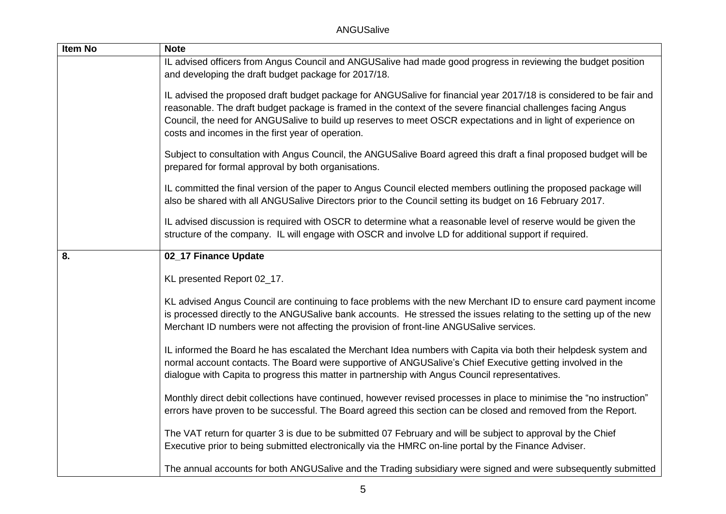| Item No | <b>Note</b>                                                                                                                                                                                                                                                                                                                                                                                                |
|---------|------------------------------------------------------------------------------------------------------------------------------------------------------------------------------------------------------------------------------------------------------------------------------------------------------------------------------------------------------------------------------------------------------------|
|         | IL advised officers from Angus Council and ANGUSalive had made good progress in reviewing the budget position<br>and developing the draft budget package for 2017/18.                                                                                                                                                                                                                                      |
|         | IL advised the proposed draft budget package for ANGUSalive for financial year 2017/18 is considered to be fair and<br>reasonable. The draft budget package is framed in the context of the severe financial challenges facing Angus<br>Council, the need for ANGUSalive to build up reserves to meet OSCR expectations and in light of experience on<br>costs and incomes in the first year of operation. |
|         | Subject to consultation with Angus Council, the ANGUSalive Board agreed this draft a final proposed budget will be<br>prepared for formal approval by both organisations.                                                                                                                                                                                                                                  |
|         | IL committed the final version of the paper to Angus Council elected members outlining the proposed package will<br>also be shared with all ANGUSalive Directors prior to the Council setting its budget on 16 February 2017.                                                                                                                                                                              |
|         | IL advised discussion is required with OSCR to determine what a reasonable level of reserve would be given the<br>structure of the company. IL will engage with OSCR and involve LD for additional support if required.                                                                                                                                                                                    |
| 8.      | 02_17 Finance Update                                                                                                                                                                                                                                                                                                                                                                                       |
|         | KL presented Report 02_17.                                                                                                                                                                                                                                                                                                                                                                                 |
|         | KL advised Angus Council are continuing to face problems with the new Merchant ID to ensure card payment income<br>is processed directly to the ANGUSalive bank accounts. He stressed the issues relating to the setting up of the new<br>Merchant ID numbers were not affecting the provision of front-line ANGUSalive services.                                                                          |
|         | IL informed the Board he has escalated the Merchant Idea numbers with Capita via both their helpdesk system and<br>normal account contacts. The Board were supportive of ANGUSalive's Chief Executive getting involved in the<br>dialogue with Capita to progress this matter in partnership with Angus Council representatives.                                                                           |
|         | Monthly direct debit collections have continued, however revised processes in place to minimise the "no instruction"<br>errors have proven to be successful. The Board agreed this section can be closed and removed from the Report.                                                                                                                                                                      |
|         | The VAT return for quarter 3 is due to be submitted 07 February and will be subject to approval by the Chief<br>Executive prior to being submitted electronically via the HMRC on-line portal by the Finance Adviser.                                                                                                                                                                                      |
|         | The annual accounts for both ANGUSalive and the Trading subsidiary were signed and were subsequently submitted                                                                                                                                                                                                                                                                                             |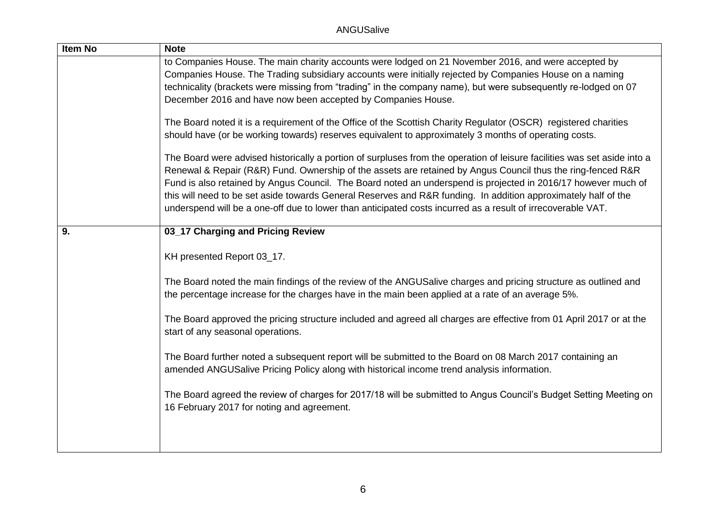| Item No | <b>Note</b>                                                                                                              |
|---------|--------------------------------------------------------------------------------------------------------------------------|
|         | to Companies House. The main charity accounts were lodged on 21 November 2016, and were accepted by                      |
|         | Companies House. The Trading subsidiary accounts were initially rejected by Companies House on a naming                  |
|         | technicality (brackets were missing from "trading" in the company name), but were subsequently re-lodged on 07           |
|         | December 2016 and have now been accepted by Companies House.                                                             |
|         | The Board noted it is a requirement of the Office of the Scottish Charity Regulator (OSCR) registered charities          |
|         | should have (or be working towards) reserves equivalent to approximately 3 months of operating costs.                    |
|         | The Board were advised historically a portion of surpluses from the operation of leisure facilities was set aside into a |
|         | Renewal & Repair (R&R) Fund. Ownership of the assets are retained by Angus Council thus the ring-fenced R&R              |
|         | Fund is also retained by Angus Council. The Board noted an underspend is projected in 2016/17 however much of            |
|         | this will need to be set aside towards General Reserves and R&R funding. In addition approximately half of the           |
|         | underspend will be a one-off due to lower than anticipated costs incurred as a result of irrecoverable VAT.              |
| 9.      | 03_17 Charging and Pricing Review                                                                                        |
|         |                                                                                                                          |
|         | KH presented Report 03_17.                                                                                               |
|         | The Board noted the main findings of the review of the ANGUSalive charges and pricing structure as outlined and          |
|         | the percentage increase for the charges have in the main been applied at a rate of an average 5%.                        |
|         | The Board approved the pricing structure included and agreed all charges are effective from 01 April 2017 or at the      |
|         | start of any seasonal operations.                                                                                        |
|         | The Board further noted a subsequent report will be submitted to the Board on 08 March 2017 containing an                |
|         | amended ANGUSalive Pricing Policy along with historical income trend analysis information.                               |
|         | The Board agreed the review of charges for 2017/18 will be submitted to Angus Council's Budget Setting Meeting on        |
|         | 16 February 2017 for noting and agreement.                                                                               |
|         |                                                                                                                          |
|         |                                                                                                                          |
|         |                                                                                                                          |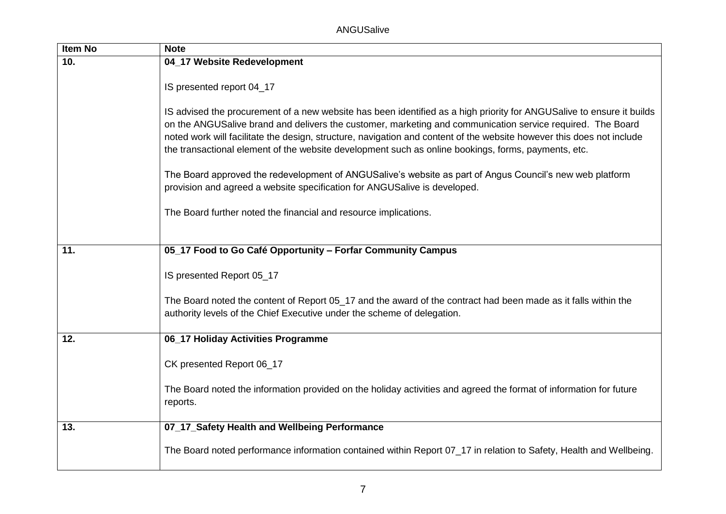| Item No | <b>Note</b>                                                                                                                                                                                                                                                                                                                                                                                                                                                         |
|---------|---------------------------------------------------------------------------------------------------------------------------------------------------------------------------------------------------------------------------------------------------------------------------------------------------------------------------------------------------------------------------------------------------------------------------------------------------------------------|
| 10.     | 04_17 Website Redevelopment                                                                                                                                                                                                                                                                                                                                                                                                                                         |
|         | IS presented report 04_17                                                                                                                                                                                                                                                                                                                                                                                                                                           |
|         | IS advised the procurement of a new website has been identified as a high priority for ANGUSalive to ensure it builds<br>on the ANGUSalive brand and delivers the customer, marketing and communication service required. The Board<br>noted work will facilitate the design, structure, navigation and content of the website however this does not include<br>the transactional element of the website development such as online bookings, forms, payments, etc. |
|         | The Board approved the redevelopment of ANGUSalive's website as part of Angus Council's new web platform<br>provision and agreed a website specification for ANGUSalive is developed.                                                                                                                                                                                                                                                                               |
|         | The Board further noted the financial and resource implications.                                                                                                                                                                                                                                                                                                                                                                                                    |
|         |                                                                                                                                                                                                                                                                                                                                                                                                                                                                     |
| 11.     | 05_17 Food to Go Café Opportunity - Forfar Community Campus                                                                                                                                                                                                                                                                                                                                                                                                         |
|         | IS presented Report 05_17                                                                                                                                                                                                                                                                                                                                                                                                                                           |
|         | The Board noted the content of Report 05_17 and the award of the contract had been made as it falls within the<br>authority levels of the Chief Executive under the scheme of delegation.                                                                                                                                                                                                                                                                           |
| 12.     | 06_17 Holiday Activities Programme                                                                                                                                                                                                                                                                                                                                                                                                                                  |
|         | CK presented Report 06_17                                                                                                                                                                                                                                                                                                                                                                                                                                           |
|         | The Board noted the information provided on the holiday activities and agreed the format of information for future<br>reports.                                                                                                                                                                                                                                                                                                                                      |
| 13.     | 07_17_Safety Health and Wellbeing Performance                                                                                                                                                                                                                                                                                                                                                                                                                       |
|         | The Board noted performance information contained within Report 07_17 in relation to Safety, Health and Wellbeing.                                                                                                                                                                                                                                                                                                                                                  |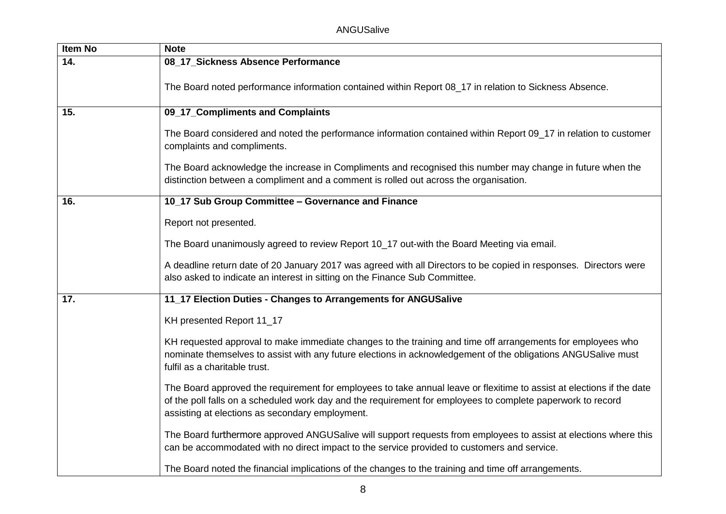| Item No | <b>Note</b>                                                                                                                                                                                                                                                                             |
|---------|-----------------------------------------------------------------------------------------------------------------------------------------------------------------------------------------------------------------------------------------------------------------------------------------|
| 14.     | 08_17_Sickness Absence Performance                                                                                                                                                                                                                                                      |
|         | The Board noted performance information contained within Report 08_17 in relation to Sickness Absence.                                                                                                                                                                                  |
| 15.     | 09_17_Compliments and Complaints                                                                                                                                                                                                                                                        |
|         | The Board considered and noted the performance information contained within Report 09_17 in relation to customer<br>complaints and compliments.                                                                                                                                         |
|         | The Board acknowledge the increase in Compliments and recognised this number may change in future when the<br>distinction between a compliment and a comment is rolled out across the organisation.                                                                                     |
| 16.     | 10_17 Sub Group Committee - Governance and Finance                                                                                                                                                                                                                                      |
|         | Report not presented.                                                                                                                                                                                                                                                                   |
|         | The Board unanimously agreed to review Report 10_17 out-with the Board Meeting via email.                                                                                                                                                                                               |
|         | A deadline return date of 20 January 2017 was agreed with all Directors to be copied in responses. Directors were<br>also asked to indicate an interest in sitting on the Finance Sub Committee.                                                                                        |
| 17.     | 11_17 Election Duties - Changes to Arrangements for ANGUSalive                                                                                                                                                                                                                          |
|         | KH presented Report 11_17                                                                                                                                                                                                                                                               |
|         | KH requested approval to make immediate changes to the training and time off arrangements for employees who<br>nominate themselves to assist with any future elections in acknowledgement of the obligations ANGUSalive must<br>fulfil as a charitable trust.                           |
|         | The Board approved the requirement for employees to take annual leave or flexitime to assist at elections if the date<br>of the poll falls on a scheduled work day and the requirement for employees to complete paperwork to record<br>assisting at elections as secondary employment. |
|         | The Board furthermore approved ANGUSalive will support requests from employees to assist at elections where this<br>can be accommodated with no direct impact to the service provided to customers and service.                                                                         |
|         | The Board noted the financial implications of the changes to the training and time off arrangements.                                                                                                                                                                                    |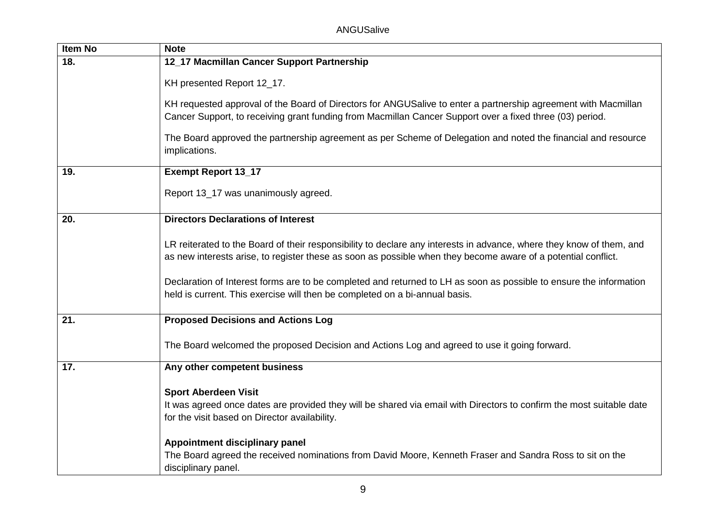| Item No | <b>Note</b>                                                                                                                                                                                                                           |
|---------|---------------------------------------------------------------------------------------------------------------------------------------------------------------------------------------------------------------------------------------|
| 18.     | 12_17 Macmillan Cancer Support Partnership                                                                                                                                                                                            |
|         | KH presented Report 12_17.                                                                                                                                                                                                            |
|         | KH requested approval of the Board of Directors for ANGUSalive to enter a partnership agreement with Macmillan<br>Cancer Support, to receiving grant funding from Macmillan Cancer Support over a fixed three (03) period.            |
|         | The Board approved the partnership agreement as per Scheme of Delegation and noted the financial and resource<br>implications.                                                                                                        |
| 19.     | <b>Exempt Report 13_17</b>                                                                                                                                                                                                            |
|         | Report 13_17 was unanimously agreed.                                                                                                                                                                                                  |
| 20.     | <b>Directors Declarations of Interest</b>                                                                                                                                                                                             |
|         | LR reiterated to the Board of their responsibility to declare any interests in advance, where they know of them, and<br>as new interests arise, to register these as soon as possible when they become aware of a potential conflict. |
|         | Declaration of Interest forms are to be completed and returned to LH as soon as possible to ensure the information<br>held is current. This exercise will then be completed on a bi-annual basis.                                     |
| 21.     | <b>Proposed Decisions and Actions Log</b>                                                                                                                                                                                             |
|         | The Board welcomed the proposed Decision and Actions Log and agreed to use it going forward.                                                                                                                                          |
| 17.     | Any other competent business                                                                                                                                                                                                          |
|         | <b>Sport Aberdeen Visit</b><br>It was agreed once dates are provided they will be shared via email with Directors to confirm the most suitable date<br>for the visit based on Director availability.                                  |
|         | Appointment disciplinary panel<br>The Board agreed the received nominations from David Moore, Kenneth Fraser and Sandra Ross to sit on the<br>disciplinary panel.                                                                     |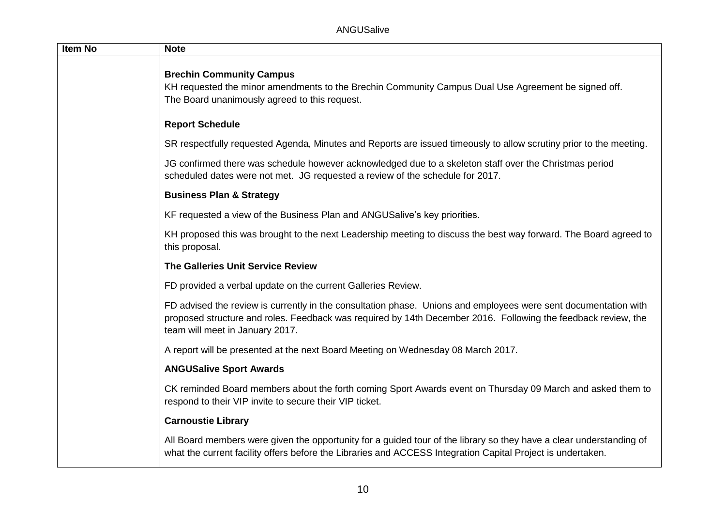| <b>Item No</b> | <b>Note</b>                                                                                                                                                                                                                                                         |
|----------------|---------------------------------------------------------------------------------------------------------------------------------------------------------------------------------------------------------------------------------------------------------------------|
|                | <b>Brechin Community Campus</b><br>KH requested the minor amendments to the Brechin Community Campus Dual Use Agreement be signed off.<br>The Board unanimously agreed to this request.                                                                             |
|                | <b>Report Schedule</b>                                                                                                                                                                                                                                              |
|                | SR respectfully requested Agenda, Minutes and Reports are issued timeously to allow scrutiny prior to the meeting.                                                                                                                                                  |
|                | JG confirmed there was schedule however acknowledged due to a skeleton staff over the Christmas period<br>scheduled dates were not met. JG requested a review of the schedule for 2017.                                                                             |
|                | <b>Business Plan &amp; Strategy</b>                                                                                                                                                                                                                                 |
|                | KF requested a view of the Business Plan and ANGUSalive's key priorities.                                                                                                                                                                                           |
|                | KH proposed this was brought to the next Leadership meeting to discuss the best way forward. The Board agreed to<br>this proposal.                                                                                                                                  |
|                | <b>The Galleries Unit Service Review</b>                                                                                                                                                                                                                            |
|                | FD provided a verbal update on the current Galleries Review.                                                                                                                                                                                                        |
|                | FD advised the review is currently in the consultation phase. Unions and employees were sent documentation with<br>proposed structure and roles. Feedback was required by 14th December 2016. Following the feedback review, the<br>team will meet in January 2017. |
|                | A report will be presented at the next Board Meeting on Wednesday 08 March 2017.                                                                                                                                                                                    |
|                | <b>ANGUSalive Sport Awards</b>                                                                                                                                                                                                                                      |
|                | CK reminded Board members about the forth coming Sport Awards event on Thursday 09 March and asked them to<br>respond to their VIP invite to secure their VIP ticket.                                                                                               |
|                | <b>Carnoustie Library</b>                                                                                                                                                                                                                                           |
|                | All Board members were given the opportunity for a guided tour of the library so they have a clear understanding of<br>what the current facility offers before the Libraries and ACCESS Integration Capital Project is undertaken.                                  |